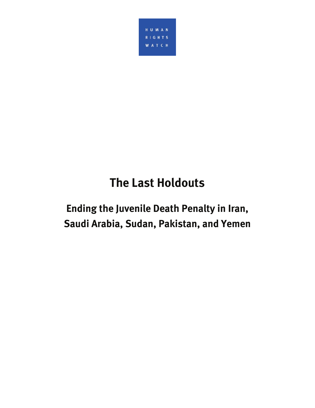

# **The Last Holdouts**

# **Ending the Juvenile Death Penalty in Iran, Saudi Arabia, Sudan, Pakistan, and Yemen**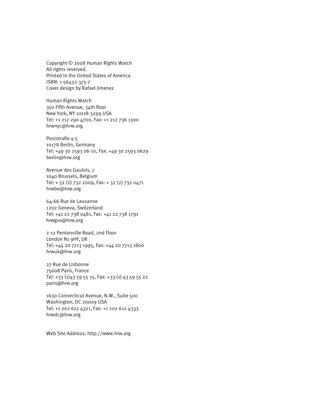Copyright © 2008 Human Rights Watch All rights reserved. Printed in the United States of America ISBN: 1-56432-375-7 Cover design by Rafael Jimenez

Human Rights Watch 350 Fifth Avenue, 34th floor New York, NY 10118-3299 USA Tel: +1 212 290 4700, Fax: +1 212 736 1300 hrwnyc@hrw.org

Poststraße 4-5 10178 Berlin, Germany Tel: +49 30 2593 06-10, Fax: +49 30 2593 0629 berlin@hrw.org

Avenue des Gaulois, 7 1040 Brussels, Belgium Tel: + 32 (2) 732 2009, Fax: + 32 (2) 732 0471 hrwbe@hrw.org

64-66 Rue de Lausanne 1202 Geneva, Switzerland Tel: +41 22 738 0481, Fax: +41 22 738 1791 hrwgva@hrw.org

2-12 Pentonville Road, 2nd Floor London N1 9HF, UK Tel: +44 20 7713 1995, Fax: +44 20 7713 1800 hrwuk@hrw.org

27 Rue de Lisbonne 75008 Paris, France Tel: +33 (1)43 59 55 35, Fax: +33 (1) 43 59 55 22 paris@hrw.org

1630 Connecticut Avenue, N.W., Suite 500 Washington, DC 20009 USA Tel: +1 202 612 4321, Fax: +1 202 612 4333 hrwdc@hrw.org

Web Site Address: http://www.hrw.org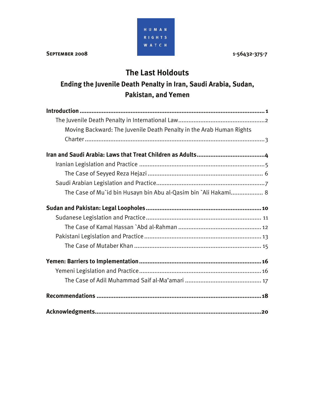HUMAN **RIGHTS** W A T C H

# **The Last Holdouts**

# **Ending the Juvenile Death Penalty in Iran, Saudi Arabia, Sudan, Pakistan, and Yemen**

| Moving Backward: The Juvenile Death Penalty in the Arab Human Rights |
|----------------------------------------------------------------------|
|                                                                      |
|                                                                      |
|                                                                      |
|                                                                      |
|                                                                      |
| The Case of Mu`id bin Husayn bin Abu al-Qasim bin `Ali Hakami 8      |
|                                                                      |
|                                                                      |
|                                                                      |
|                                                                      |
|                                                                      |
|                                                                      |
|                                                                      |
|                                                                      |
|                                                                      |
|                                                                      |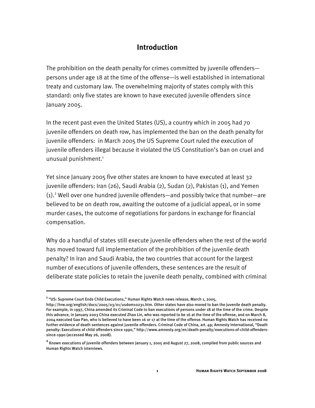# **Introduction**

The prohibition on the death penalty for crimes committed by juvenile offenders persons under age 18 at the time of the offense—is well established in international treaty and customary law. The overwhelming majority of states comply with this standard: only five states are known to have executed juvenile offenders since January 2005.

In the recent past even the United States (US), a country which in 2005 had 70 juvenile offenders on death row, has implemented the ban on the death penalty for juvenile offenders: in March 2005 the US Supreme Court ruled the execution of juvenile offenders illegal because it violated the US Constitution's ban on cruel and unusual punishment.<sup>1</sup>

Yet since January 2005 five other states are known to have executed at least 32 juvenile offenders: Iran (26), Saudi Arabia (2), Sudan (2), Pakistan (1), and Yemen (1).<sup>2</sup> Well over one hundred juvenile offenders—and possibly twice that number—are believed to be on death row, awaiting the outcome of a judicial appeal, or in some murder cases, the outcome of negotiations for pardons in exchange for financial compensation.

Why do a handful of states still execute juvenile offenders when the rest of the world has moved toward full implementation of the prohibition of the juvenile death penalty? In Iran and Saudi Arabia, the two countries that account for the largest number of executions of juvenile offenders, these sentences are the result of deliberate state policies to retain the juvenile death penalty, combined with criminal

-

**<sup>1</sup>** "US: Supreme Court Ends Child Executions," Human Rights Watch news release, March 1, 2005,

http://hrw.org/english/docs/2005/03/01/usdom10231.htm. Other states have also moved to ban the juvenile death penalty. For example, in 1997, China amended its Criminal Code to ban executions of persons under 18 at the time of the crime. Despite this advance, in January 2003 China executed Zhao Lin, who was reported to be 16 at the time of the offense, and on March 8, 2004 executed Gao Pan, who is believed to have been 16 or 17 at the time of the offense. Human Rights Watch has received no further evidence of death sentences against juvenile offenders. Criminal Code of China, art. 49; Amnesty International, "Death penalty: Executions of child offenders since 1990," http://www.amnesty.org/en/death-penalty/executions-of-child-offenderssince-1990 (accessed May 26, 2008).

**<sup>2</sup>** Known executions of juvenile offenders between January 1, 2005 and August 27, 2008, compiled from public sources and Human Rights Watch interviews.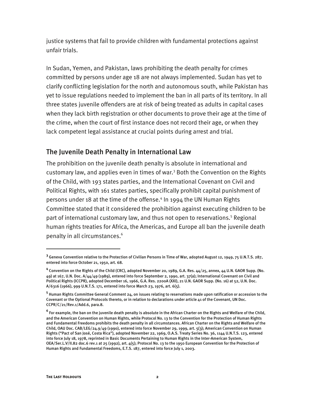justice systems that fail to provide children with fundamental protections against unfair trials.

In Sudan, Yemen, and Pakistan, laws prohibiting the death penalty for crimes committed by persons under age 18 are not always implemented. Sudan has yet to clarify conflicting legislation for the north and autonomous south, while Pakistan has yet to issue regulations needed to implement the ban in all parts of its territory. In all three states juvenile offenders are at risk of being treated as adults in capital cases when they lack birth registration or other documents to prove their age at the time of the crime, when the court of first instance does not record their age, or when they lack competent legal assistance at crucial points during arrest and trial.

## The Juvenile Death Penalty in International Law

The prohibition on the juvenile death penalty is absolute in international and customary law, and applies even in times of war.<sup>3</sup> Both the Convention on the Rights of the Child, with 193 states parties, and the International Covenant on Civil and Political Rights, with 161 states parties, specifically prohibit capital punishment of persons under 18 at the time of the offense.<sup>4</sup> In 1994 the UN Human Rights Committee stated that it considered the prohibition against executing children to be part of international customary law, and thus not open to reservations.<sup>5</sup> Regional human rights treaties for Africa, the Americas, and Europe all ban the juvenile death penalty in all circumstances.<sup>6</sup>

-

**<sup>3</sup>** Geneva Convention relative to the Protection of Civilian Persons in Time of War, adopted August 12, 1949, 75 U.N.T.S. 287, entered into force October 21, 1950, art. 68.

**<sup>4</sup>** Convention on the Rights of the Child (CRC), adopted November 20, 1989, G.A. Res. 44/25, annex, 44 U.N. GAOR Supp. (No. 49) at 167, U.N. Doc. A/44/49 (1989), entered into force September 2, 1990, art. 37(a); International Covenant on Civil and Political Rights (ICCPR), adopted December 16, 1966, G.A. Res. 2200A (XXI), 21 U.N. GAOR Supp. (No. 16) at 52, U.N. Doc. A/6316 (1966), 999 U.N.T.S. 171, entered into force March 23, 1976, art. 6(5).

**<sup>5</sup>** Human Rights Committee General Comment 24, on issues relating to reservations made upon ratification or accession to the Covenant or the Optional Protocols thereto, or in relation to declarations under article 41 of the Covenant, UN Doc. CCPR/C/21/Rev.1/Add.6, para.8.

**<sup>6</sup>** For example, the ban on the juvenile death penalty is absolute in the African Charter on the Rights and Welfare of the Child, and the American Convention on Human Rights, while Protocol No. 13 to the Convention for the Protection of Human Rights and Fundamental Freedoms prohibits the death penalty in all circumstances. African Charter on the Rights and Welfare of the Child, OAU Doc. CAB/LEG/24.9/49 (1990), entered into force November 29, 1999, art. 5(3); American Convention on Human Rights ("Pact of San José, Costa Rica"), adopted November 22, 1969, O.A.S. Treaty Series No. 36, 1144 U.N.T.S. 123, entered into force July 18, 1978, reprinted in Basic Documents Pertaining to Human Rights in the Inter-American System, OEA/Ser.L.V/II.82 doc.6 rev.1 at 25 (1992), art. 4(5); Protocol No. 13 to the 1950 European Convention for the Protection of Human Rights and Fundamental Freedoms, E.T.S. 187, entered into force July 1, 2003.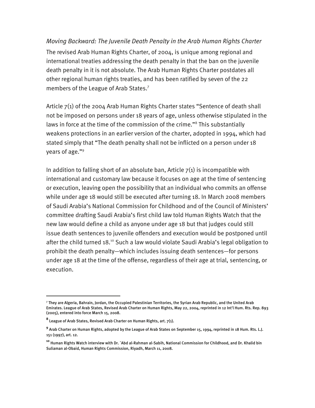#### *Moving Backward: The Juvenile Death Penalty in the Arab Human Rights Charter*

The revised Arab Human Rights Charter, of 2004, is unique among regional and international treaties addressing the death penalty in that the ban on the juvenile death penalty in it is not absolute. The Arab Human Rights Charter postdates all other regional human rights treaties, and has been ratified by seven of the 22 members of the League of Arab States.<sup>7</sup>

Article 7(1) of the 2004 Arab Human Rights Charter states "Sentence of death shall not be imposed on persons under 18 years of age, unless otherwise stipulated in the laws in force at the time of the commission of the crime."<sup>8</sup> This substantially weakens protections in an earlier version of the charter, adopted in 1994, which had stated simply that "The death penalty shall not be inflicted on a person under 18 years of age."9

In addition to falling short of an absolute ban, Article  $7(1)$  is incompatible with international and customary law because it focuses on age at the time of sentencing or execution, leaving open the possibility that an individual who commits an offense while under age 18 would still be executed after turning 18. In March 2008 members of Saudi Arabia's National Commission for Childhood and of the Council of Ministers' committee drafting Saudi Arabia's first child law told Human Rights Watch that the new law would define a child as anyone under age 18 but that judges could still issue death sentences to juvenile offenders and execution would be postponed until after the child turned 18.<sup>10</sup> Such a law would violate Saudi Arabia's legal obligation to prohibit the death penalty—which includes issuing death sentences—for persons under age 18 at the time of the offense, regardless of their age at trial, sentencing, or execution.

<sup>7</sup> They are Algeria, Bahrain, Jordan, the Occupied Palestinian Territories, the Syrian Arab Republic, and the United Arab Emirates. League of Arab States, Revised Arab Charter on Human Rights, May 22, 2004, reprinted in 12 Int'l Hum. Rts. Rep. 893 (2005), entered into force March 15, 2008.

**<sup>8</sup>** League of Arab States, Revised Arab Charter on Human Rights, art. 7(1).

**<sup>9</sup>** Arab Charter on Human Rights, adopted by the League of Arab States on September 15, 1994, reprinted in 18 Hum. Rts. L.J. 151 (1997), art. 12.

**<sup>10</sup>** Human Rights Watch interview with Dr. `Abd al-Rahman al-Sabih, National Commission for Childhood, and Dr. Khalid bin Suliaman al-Obaid, Human Rights Commission, Riyadh, March 11, 2008.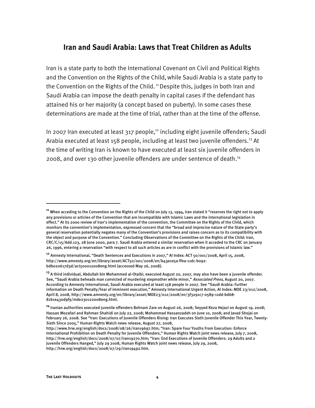## **Iran and Saudi Arabia: Laws that Treat Children as Adults**

Iran is a state party to both the International Covenant on Civil and Political Rights and the Convention on the Rights of the Child,while Saudi Arabia is a state party to the Convention on the Rights of the Child. 11 Despite this, judges in both Iran and Saudi Arabia can impose the death penalty in capital cases if the defendant has attained his or her majority (a concept based on puberty). In some cases these determinations are made at the time of trial, rather than at the time of the offense.

In 2007 Iran executed at least 317 people, $12$  including eight juvenile offenders; Saudi Arabia executed at least 158 people, including at least two juvenile offenders.<sup>13</sup> At the time of writing Iran is known to have executed at least six juvenile offenders in 2008, and over 130 other juvenile offenders are under sentence of death.14

**<sup>11</sup>** When acceding to the Convention on the Rights of the Child on July 13, 1994, Iran stated it "reserves the right not to apply any provisions or articles of the Convention that are incompatible with Islamic Laws and the international legislation in effect." At its 2000 review of Iran's implementation of the convention, the Committee on the Rights of the Child, which monitors the convention's implementation, expressed concern that the "broad and imprecise nature of the State party's general reservation potentially negates many of the Convention's provisions and raises concern as to its compatibility with the object and purpose of the Convention." Concluding Observations of the Committee on the Rights of the Child: Iran, CRC/C/15/Add.123, 28 June 2000, para 7. Saudi Arabia entered a similar reservation when it acceded to the CRC on January 26, 1996, entering a reservation "with respect to all such articles as are in conflict with the provisions of Islamic law."

**<sup>12</sup>** Amnesty International, "Death Sentences and Executions in 2007," AI Index: ACT 50/001/2008, April 15, 2008, http://www.amnesty.org/en/library/asset/ACT50/001/2008/en/b43a1e5a-ffea-11dc-b092 bdb020617d3d/act500012008eng.html (accessed May 26, 2008).

**<sup>13</sup>** A third individual, Abdullah bin Mohammed al-Otaibi, executed August 20, 2007, may also have been a juvenile offender. See, "Saudi Arabia beheads man convicted of murdering stepmother while minor," Associated Press, August 20, 2007. According to Amnesty International, Saudi Arabia executed at least 158 people in 2007. See "Saudi Arabia: Further information on Death Penalty/Fear of imminent execution," Amnesty International Urgent Action, AI Index: MDE 23/012/2008, April 8, 2008, http://www.amnesty.org/en/library/asset/MDE23/012/2008/en/3f3291c7-0589-11dd-bd68- 81b1e430d9f9/mde230122008eng.html.

**<sup>14</sup>** Iranian authorities executed juvenile offenders Behnam Zare on August 26, 2008; Seyyed Reza Hejazi on August 19, 2008; Hassan Mozafari and Rahman Shahidi on July 22, 2008; Mohammad Hassanzadeh on June 10, 2008; and Javad Shojai on February 26, 2008. See "Iran: Executions of Juvenile Offenders Rising: Iran Executes Sixth Juvenile Offender This Year, Twenty-Sixth Since 2005," Human Rights Watch news release, August 27, 2008,

http://www.hrw.org/english/docs/2008/08/26/iran19697.htm; "Iran: Spare Four Youths From Execution: Enforce International Prohibition on Death Penalty for Juvenile Offenders," Human Rights Watch joint news release, July 7, 2008, http://hrw.org/english/docs/2008/07/07/iran19270.htm; "Iran: End Executions of Juvenile Offenders: 29 Adults and 2 Juvenile Offenders Hanged," July 29 2008, Human Rights Watch joint news release, July 29, 2008, http://hrw.org/english/docs/2008/07/29/iran19492.htm.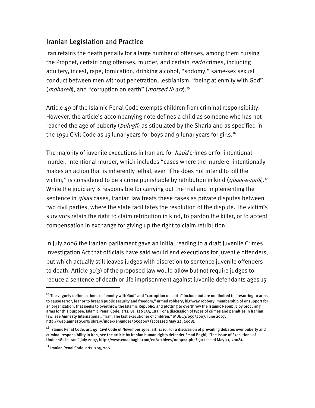## Iranian Legislation and Practice

Iran retains the death penalty for a large number of offenses, among them cursing the Prophet, certain drug offenses, murder, and certain *hadd* crimes, including adultery, incest, rape, fornication, drinking alcohol, "sodomy," same-sex sexual conduct between men without penetration, lesbianism, "being at enmity with God" (*mohareb*), and "corruption on earth" (*mofsed fil arz*).<sup>15</sup>

Article 49 of the Islamic Penal Code exempts children from criminal responsibility. However, the article's accompanying note defines a child as someone who has not reached the age of puberty (bulugh) as stipulated by the Sharia and as specified in the 1991 Civil Code as 15 lunar years for boys and 9 lunar years for girls.<sup>16</sup>

The majority of juvenile executions in Iran are for *hadd* crimes or for intentional murder. Intentional murder, which includes "cases where the murderer intentionally makes an action that is inherently lethal, even if he does not intend to kill the victim," is considered to be a crime punishable by retribution in kind  $(qisas-e-nafs)$ .<sup>17</sup> While the judiciary is responsible for carrying out the trial and implementing the sentence in *qisas* cases, Iranian law treats these cases as private disputes between two civil parties, where the state facilitates the resolution of the dispute. The victim's survivors retain the right to claim retribution in kind, to pardon the killer, or to accept compensation in exchange for giving up the right to claim retribution.

In July 2006 the Iranian parliament gave an initial reading to a draft Juvenile Crimes Investigation Act that officials have said would end executions for juvenile offenders, but which actually still leaves judges with discretion to sentence juvenile offenders to death. Article 31(3) of the proposed law would allow but not require judges to reduce a sentence of death or life imprisonment against juvenile defendants ages 15

**<sup>15</sup>** The vaguely defined crimes of "enmity with God" and "corruption on earth" include but are not limited to "resorting to arms to cause terror, fear or to breach public security and freedom," armed robbery, highway robbery, membership of or support for an organization, that seeks to overthrow the Islamic Republic; and plotting to overthrow the Islamic Republic by procuring arms for this purpose. Islamic Penal Code, arts. 81, 126 133, 183. For a discussion of types of crimes and penalties in Iranian law, see Amnesty International, "Iran: The last executioner of children," MDE 13/059/2007, June 2007, http://web.amnesty.org/library/index/engmde130592007 (accessed May 22, 2008).

**<sup>16</sup>** Islamic Penal Code, art. 49; Civil Code of November 1991, art. 1210. For a discussion of prevailing debates over puberty and criminal responsibility in Iran, see the article by Iranian human rights defender Emad Baghi, "The Issue of Executions of Under-18s in Iran," July 2007, http://www.emadbaghi.com/en/archives/000924.php? (accessed May 21, 2008).

**<sup>17</sup>** Iranian Penal Code, arts. 205, 206.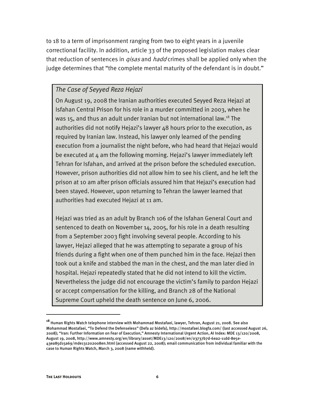to 18 to a term of imprisonment ranging from two to eight years in a juvenile correctional facility. In addition, article 33 of the proposed legislation makes clear that reduction of sentences in *qisas* and *hadd* crimes shall be applied only when the judge determines that "the complete mental maturity of the defendant is in doubt."

### *The Case of Seyyed Reza Hejazi*

On August 19, 2008 the Iranian authorities executed Seyyed Reza Hejazi at Isfahan Central Prison for his role in a murder committed in 2003, when he was 15, and thus an adult under Iranian but not international law.<sup>18</sup> The authorities did not notify Hejazi's lawyer 48 hours prior to the execution, as required by Iranian law. Instead, his lawyer only learned of the pending execution from a journalist the night before, who had heard that Hejazi would be executed at  $4$  am the following morning. Hejazi's lawyer immediately left Tehran for Isfahan, and arrived at the prison before the scheduled execution. However, prison authorities did not allow him to see his client, and he left the prison at 10 am after prison officials assured him that Hejazi's execution had been stayed. However, upon returning to Tehran the lawyer learned that authorities had executed Hejazi at 11 am.

Hejazi was tried as an adult by Branch 106 of the Isfahan General Court and sentenced to death on November 14, 2005, for his role in a death resulting from a September 2003 fight involving several people. According to his lawyer, Hejazi alleged that he was attempting to separate a group of his friends during a fight when one of them punched him in the face. Hejazi then took out a knife and stabbed the man in the chest, and the man later died in hospital. Hejazi repeatedly stated that he did not intend to kill the victim. Nevertheless the judge did not encourage the victim's family to pardon Hejazi or accept compensation for the killing, and Branch 28 of the National Supreme Court upheld the death sentence on June 6, 2006.

**<sup>18</sup>** Human Rights Watch telephone interview with Mohammad Mostafaei, lawyer, Tehran, August 21, 2008. See also Mohammad Mostafaei, "To Defend the Defenseless" (Defa az bidefa), http://mostafaei.blogfa.com/ (last accessed August 26, 2008); "Iran: Further Information on Fear of Execution," Amnesty International Urgent Action, AI Index: MDE 13/120/2008, August 19, 2008, http://www.amnesty.org/en/library/asset/MDE13/120/2008/en/03737b7d-6ea2-11dd-8e5e-43ea85d15a69/mde131202008en.html (accessed August 22, 2008); email communication from individual familiar with the case to Human Rights Watch, March 3, 2008 (name withheld).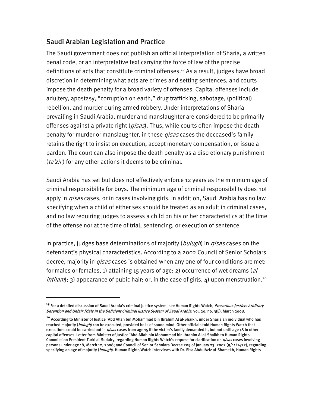# Saudi Arabian Legislation and Practice

I

The Saudi government does not publish an official interpretation of Sharia, a written penal code, or an interpretative text carrying the force of law of the precise definitions of acts that constitute criminal offenses.<sup>19</sup> As a result, judges have broad discretion in determining what acts are crimes and setting sentences, and courts impose the death penalty for a broad variety of offenses. Capital offenses include adultery, apostasy, "corruption on earth," drug trafficking, sabotage, (political) rebellion, and murder during armed robbery.Under interpretations of Sharia prevailing in Saudi Arabia, murder and manslaughter are considered to be primarily offenses against a private right (*qisas*). Thus, while courts often impose the death penalty for murder or manslaughter, in these *qisas* cases the deceased's family retains the right to insist on execution, accept monetary compensation, or issue a pardon. The court can also impose the death penalty as a discretionary punishment ( $ta'zir$ ) for any other actions it deems to be criminal.

Saudi Arabia has set but does not effectively enforce 12 years as the minimum age of criminal responsibility for boys. The minimum age of criminal responsibility does not apply in *qisas* cases, or in cases involving girls. In addition, Saudi Arabia has no law specifying when a child of either sex should be treated as an adult in criminal cases, and no law requiring judges to assess a child on his or her characteristics at the time of the offense nor at the time of trial, sentencing, or execution of sentence.

In practice, judges base determinations of majority (bulugh) in *qisas* cases on the defendant's physical characteristics. According to a 2002 Council of Senior Scholars decree, majority in *qisas* cases is obtained when any one of four conditions are met: for males or females, 1) attaining 15 years of age; 2) occurrence of wet dreams  $(al$ *ihtilam*); 3) appearance of pubic hair; or, in the case of girls,  $4$ ) upon menstruation.<sup>20</sup>

**<sup>19</sup>** For a detailed discussion of Saudi Arabia's criminal justice system, see Human Rights Watch, Precarious Justice: Arbitrary Detention and Unfair Trials in the Deficient Criminal Justice System of Saudi Arabia, vol. 20, no. 3(E), March 2008.

**<sup>20</sup>** According to Minister of Justice `Abd Allah bin Mohammad bin Ibrahim Al al-Shaikh, under Sharia an individual who has reached majority (bulugh) can be executed, provided he is of sound mind. Other officials told Human Rights Watch that executions could be carried out in *qisas* cases from age 15 if the victim's family demanded it, but not until age 18 in other capital offenses. Letter from Minister of Justice `Abd Allah bin Mohammad bin Ibrahim Al al-Shaikh to Human Rights Commission President Turki al-Sudairy, regarding Human Rights Watch's request for clarification on *qisas* cases involving persons under age 18, March 12, 2008; and Council of Senior Scholars Decree 209 of January 23, 2002 (9/11/1422), regarding specifying an age of majority (*bulugh*). Human Rights Watch interviews with Dr. Eisa AbdulAziz al-Shamekh, Human Rights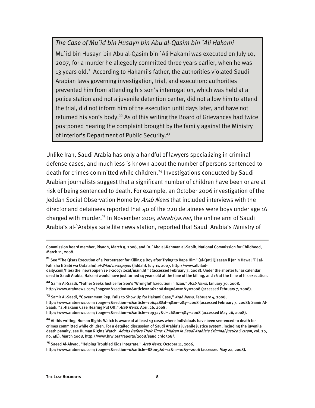*The Case of Mu`id bin Husayn bin Abu al-Qasim bin `Ali Hakami*  Mu`id bin Husayn bin Abu al-Qasim bin `Ali Hakami was executed on July 10, 2007, for a murder he allegedly committed three years earlier, when he was 13 years old.<sup>21</sup> According to Hakami's father, the authorities violated Saudi Arabian laws governing investigation, trial, and execution: authorities prevented him from attending his son's interrogation, which was held at a police station and not a juvenile detention center, did not allow him to attend the trial, did not inform him of the execution until days later, and have not returned his son's body.<sup>22</sup> As of this writing the Board of Grievances had twice postponed hearing the complaint brought by the family against the Ministry of Interior's Department of Public Security.<sup>23</sup>

Unlike Iran, Saudi Arabia has only a handful of lawyers specializing in criminal defense cases, and much less is known about the number of persons sentenced to death for crimes committed while children.<sup>24</sup> Investigations conducted by Saudi Arabian journalists suggest that a significant number of children have been or are at risk of being sentenced to death. For example, an October 2006 investigation of the Jeddah Social Observation Home by *Arab News* that included interviews with the director and detainees reported that 40 of the 220 detainees were boys under age 16 charged with murder.<sup>25</sup> In November 2005 alarabiya.net, the online arm of Saudi Arabia's al-`Arabiya satellite news station, reported that Saudi Arabia's Ministry of

Commission board member, Riyadh, March 9, 2008, and Dr. `Abd al-Rahman al-Sabih, National Commission for Childhood, March 11, 2008.

**<sup>21</sup>** See "The Qisas Execution of a Perpetrator for Killing a Boy after Trying to Rape Him" (al-Qatl Qisasan li Janin Hawal Fi`l al-Fahisha fi Sabi wa Qatalahu) *al-Bilad newspaper* (Jiddah), July 11, 2007, http://www.albilad-

daily.com/files/the\_newspaper/11-7-2007/local/main.html (accessed February 7, 2008). Under the shorter lunar calendar used in Saudi Arabia, Hakami would have just turned 14 years old at the time of the killing, and 16 at the time of his execution.

<sup>&</sup>lt;sup>22</sup> Samir Al-Saadi, "Father Seeks Justice for Son's 'Wrongful' Execution in Jizan," Arab News, January 30, 2008, http://www.arabnews.com/?page=1&section=0&article=106240&d=30&m=1&y=2008 (accessed February 7, 2008).

<sup>&</sup>lt;sup>23</sup> Samir Al-Saadi, "Government Rep. Fails to Show Up for Hakami Case," *Arab News*, February 4, 2008, http://www.arabnews.com/?page=1&section=0&article=106448&d=4&m=2&y=2008 (accessed February 7, 2008); Samir Al-Saadi, "al-Hakami Case Hearing Put Off," Arab News, April 26, 2008,

http://www.arabnews.com/?page=1&section=0&article=109327&d=26&m=4&y=2008 (accessed May 26, 2008).

**<sup>24</sup>** At this writing, Human Rights Watch is aware of at least 13 cases where individuals have been sentenced to death for crimes committed while children. For a detailed discussion of Saudi Arabia's juvenile justice system, including the juvenile death penalty, see Human Rights Watch, Adults Before Their Time: Children in Saudi Arabia's Criminal Justice System, vol. 20, no. 4(E), March 2008, http://www.hrw.org/reports/2008/saudicrd0308/.

**<sup>25</sup>** Saeed Al-Abyad, "Helping Troubled Kids Integrate," Arab News, October 11, 2006, http://www.arabnews.com/?page=1&section=0&article=88005&d=11&m=10&y=2006 (accessed May 22, 2008).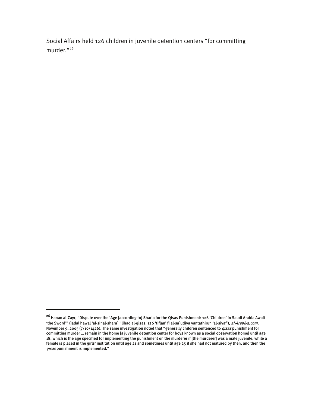Social Affairs held 126 children in juvenile detention centers "for committing murder."26

**<sup>26</sup>** Hanan al-Zayr, "Dispute over the 'Age [according to] Sharia for the Qisas Punishment: 126 'Children' in Saudi Arabia Await 'the Sword'" (Jadal hawal 'al-sinal-shara`I' lihad al-qisas: 126 'tiflan' fi al-sa`udiya yantathirun 'al-siyaf'), al-Arabiya.com, November 9, 2005 (7/10/1426). The same investigation noted that "generally children sentenced to *qisas* punishment for committing murder … remain in the home [a juvenile detention center for boys known as a social observation home] until age 18, which is the age specified for implementing the punishment on the murderer if [the murderer] was a male juvenile, while a female is placed in the girls' institution until age 21 and sometimes until age 25 if she had not matured by then, and then the qisas punishment is implemented."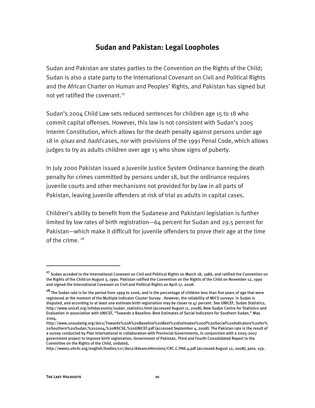# **Sudan and Pakistan: Legal Loopholes**

Sudan and Pakistan are states parties to the Convention on the Rights of the Child; Sudan is also a state party to the International Covenant on Civil and Political Rights and the African Charter on Human and Peoples' Rights, and Pakistan has signed but not yet ratified the covenant.<sup>27</sup>

Sudan's 2004 Child Law sets reduced sentences for children age 15 to 18 who commit capital offenses. However, this law is not consistent with Sudan's 2005 Interim Constitution, which allows for the death penalty against persons under age 18 in *qisas* and *hadd* cases, nor with provisions of the 1991 Penal Code, which allows judges to try as adults children over age 15 who show signs of puberty.

In July 2000 Pakistan issued a Juvenile Justice System Ordinance banning the death penalty for crimes committed by persons under 18, but the ordinance requires juvenile courts and other mechanisms not provided for by law in all parts of Pakistan, leaving juvenile offenders at risk of trial as adults in capital cases.

Children's ability to benefit from the Sudanese and Pakistani legislation is further limited by low rates of birth registration—64 percent for Sudan and 29.5 percent for Pakistan—which make it difficult for juvenile offenders to prove their age at the time of the crime.<sup>28</sup>

**<sup>27</sup>** Sudan acceded to the International Covenant on Civil and Political Rights on March 18, 1986, and ratified the Convention on the Rights of the Child on August 3, 1990. Pakistan ratified the Convention on the Rights of the Child on November 12, 1990 and signed the International Covenant on Civil and Political Rights on April 17, 2008.

**<sup>28</sup>** The Sudan rate is for the period from 1999 to 2006, and is the percentage of children less than five years of age that were registered at the moment of the Multiple Indicator Cluster Survey . However, the reliability of MICS surveys in Sudan is disputed, and according to at least one estimate birth registration may be closer to 47 percent. See UNICEF, Sudan Statistics, http://www.unicef.org/infobycountry/sudan\_statistics.html (accessed August 11, 2008); New Sudan Centre for Statistics and Evaluation in association with UNICEF, "Towards a Baseline: Best Estimates of Social Indicators for Southern Sudan," May 2004,

http://www.unsudanig.org/docs/Towards%20A%20Baseline%20Best%20Estimates%20of%20Social%20Indicators%20for% 20Southern%20Sudan,%202004,%20NSCSE,%20UNICEF.pdf (accessed September 4, 2008). The Pakistan rate is the result of a survey conducted by Plan International in collaboration with Provincial Governments, in conjunction with a 2005-2007 government project to improve birth registration. Government of Pakistan, Third and Fourth Consolidated Report to the Committee on the Rights of the Child, undated,

http://www2.ohchr.org/english/bodies/crc/docs/AdvanceVersions/CRC.C.PAK.4.pdf (accessed August 12, 2008), para. 159.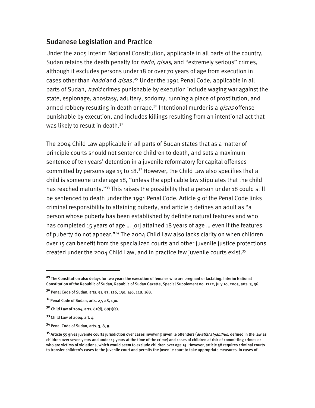## Sudanese Legislation and Practice

Under the 2005 Interim National Constitution, applicable in all parts of the country, Sudan retains the death penalty for *hadd, gisas*, and "extremely serious" crimes, although it excludes persons under 18 or over 70 years of age from execution in cases other than *hadd* and *qisas*.<sup>29</sup> Under the 1991 Penal Code, applicable in all parts of Sudan, *hadd* crimes punishable by execution include waging war against the state, espionage, apostasy, adultery, sodomy, running a place of prostitution, and armed robbery resulting in death or rape.<sup>30</sup> Intentional murder is a *gisas* offense punishable by execution, and includes killings resulting from an intentional act that was likely to result in death.<sup>31</sup>

The 2004 Child Law applicable in all parts of Sudan states that as a matter of principle courts should not sentence children to death, and sets a maximum sentence of ten years' detention in a juvenile reformatory for capital offenses committed by persons age 15 to 18.<sup>32</sup> However, the Child Law also specifies that a child is someone under age 18, "unless the applicable law stipulates that the child has reached maturity."<sup>33</sup> This raises the possibility that a person under 18 could still be sentenced to death under the 1991 Penal Code. Article 9 of the Penal Code links criminal responsibility to attaining puberty, and article 3 defines an adult as "a person whose puberty has been established by definite natural features and who has completed 15 years of age … [or] attained 18 years of age … even if the features of puberty do not appear."34 The 2004 Child Law also lacks clarity on when children over 15 can benefit from the specialized courts and other juvenile justice protections created under the 2004 Child Law, and in practice few juvenile courts exist.<sup>35</sup>

**<sup>29</sup>** The Constitution also delays for two years the execution of females who are pregnant or lactating. Interim National Constitution of the Republic of Sudan, Republic of Sudan Gazette, Special Supplement no. 1722, July 10, 2005, arts. 3, 36.

**<sup>30</sup>** Penal Code of Sudan, arts. 51, 53, 126, 130, 146, 148, 168.

**<sup>31</sup>** Penal Code of Sudan, arts. 27, 28, 130.

**<sup>32</sup>** Child Law of 2004, arts. 61(d), 68(1)(a).

**<sup>33</sup>** Child Law of 2004, art. 4.

**<sup>34</sup>** Penal Code of Sudan, arts. 3, 8, 9.

**<sup>35</sup>** Article 55 gives juvenile courts jurisdiction over cases involving juvenile offenders (al-atfal al-janihun, defined in the law as children over seven years and under 15 years at the time of the crime) and cases of children at risk of committing crimes or who are victims of violations, which would seem to exclude children over age 15. However, article 58 requires criminal courts to transfer children's cases to the juvenile court and permits the juvenile court to take appropriate measures. In cases of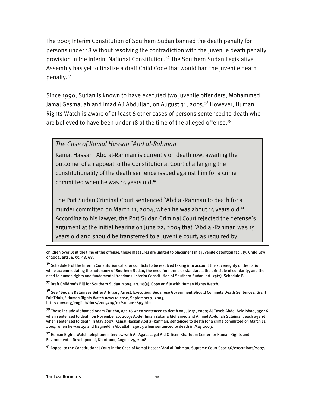The 2005 Interim Constitution of Southern Sudan banned the death penalty for persons under 18 without resolving the contradiction with the juvenile death penalty provision in the Interim National Constitution.<sup>36</sup> The Southern Sudan Legislative Assembly has yet to finalize a draft Child Code that would ban the juvenile death penalty.37

Since 1990, Sudan is known to have executed two juvenile offenders, Mohammed Jamal Gesmallah and Imad Ali Abdullah, on August 31, 2005.<sup>38</sup> However, Human Rights Watch is aware of at least 6 other cases of persons sentenced to death who are believed to have been under 18 at the time of the alleged offense.<sup>39</sup>

#### *The Case of Kamal Hassan `Abd al-Rahman*

Kamal Hassan `Abd al-Rahman is currently on death row, awaiting the outcome of an appeal to the Constitutional Court challenging the constitutionality of the death sentence issued against him for a crime committed when he was 15 years old.**<sup>40</sup>**

The Port Sudan Criminal Court sentenced `Abd al-Rahman to death for a murder committed on March 11, 2004, when he was about 15 years old.**<sup>41</sup>** According to his lawyer, the Port Sudan Criminal Court rejected the defense's argument at the initial hearing on June 22, 2004 that `Abd al-Rahman was 15 years old and should be transferred to a juvenile court, as required by

**<sup>37</sup>** Draft Children's Bill for Southern Sudan, 2005, art. 18(a). Copy on file with Human Rights Watch.

**<sup>38</sup>** See "Sudan: Detainees Suffer Arbitrary Arrest, Execution: Sudanese Government Should Commute Death Sentences, Grant Fair Trials," Human Rights Watch news release, September 7, 2005, http://hrw.org/english/docs/2005/09/07/sudan11693.htm.

**<sup>39</sup>** These include Mohamed Adam Zarieba, age 16 when sentenced to death on July 31, 2008; Al-Tayeb Abdel Aziz Ishaq, age 16 when sentenced to death on November 10, 2007; Abdelrhman Zakaria Mohamed and Ahmed Abdullah Suleiman, each age 16 when sentenced to death in May 2007; Kamal Hassan Abd al-Rahman, sentenced to death for a crime committed on March 11, 2004, when he was 15; and Nagmeldin Abdallah, age 15 when sentenced to death in May 2003.

**<sup>40</sup>** Human Rights Watch telephone interview with Ali Agab, Legal Aid Officer, Khartoum Center for Human Rights and Environmental Development, Khartoum, August 25, 2008.

**<sup>41</sup>** Appeal to the Constitutional Court in the Case of Kamal Hassan`Abd al-Rahman, Supreme Court Case 56/executions/2007.

children over 15 at the time of the offense, these measures are limited to placement in a juvenile detention facility. Child Law of 2004, arts. 4, 55, 58, 68.

**<sup>36</sup>** Schedule F of the Interim Constitution calls for conflicts to be resolved taking into account the sovereignty of the nation while accommodating the autonomy of Southern Sudan, the need for norms or standards, the principle of solidarity, and the need to human rights and fundamental freedoms. Interim Constitution of Southern Sudan, art. 25(2), Schedule F.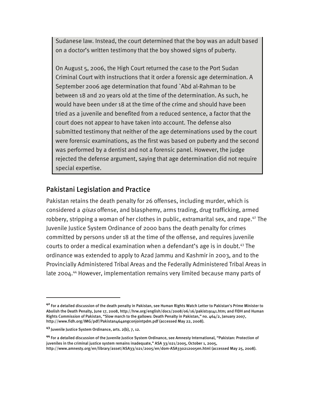Sudanese law. Instead, the court determined that the boy was an adult based on a doctor's written testimony that the boy showed signs of puberty.

On August 5, 2006, the High Court returned the case to the Port Sudan Criminal Court with instructions that it order a forensic age determination. A September 2006 age determination that found `Abd al-Rahman to be between 18 and 20 years old at the time of the determination. As such, he would have been under 18 at the time of the crime and should have been tried as a juvenile and benefited from a reduced sentence, a factor that the court does not appear to have taken into account. The defense also submitted testimony that neither of the age determinations used by the court were forensic examinations, as the first was based on puberty and the second was performed by a dentist and not a forensic panel. However, the judge rejected the defense argument, saying that age determination did not require special expertise.

# Pakistani Legislation and Practice

Pakistan retains the death penalty for 26 offenses, including murder, which is considered a *qisas* offense, and blasphemy, arms trading, drug trafficking, armed robbery, stripping a woman of her clothes in public, extramarital sex, and rape.<sup>42</sup> The Juvenile Justice System Ordinance of 2000 bans the death penalty for crimes committed by persons under 18 at the time of the offense, and requires juvenile courts to order a medical examination when a defendant's age is in doubt.<sup>43</sup> The ordinance was extended to apply to Azad Jammu and Kashmir in 2003, and to the Provincially Administered Tribal Areas and the Federally Administered Tribal Areas in late 2004.<sup>44</sup> However, implementation remains very limited because many parts of

-

**<sup>42</sup>** For a detailed discussion of the death penalty in Pakistan, see Human Rights Watch Letter to Pakistan's Prime Minister to Abolish the Death Penalty, June 17, 2008, http://hrw.org/english/docs/2008/06/16/pakist19141.htm; and FIDH and Human Rights Commission of Pakistan, "Slow march to the gallows: Death Penalty in Pakistan," no. 464/2, January 2007, http://www.fidh.org/IMG/pdf/Pakistan464angconjointpdm.pdf (accessed May 22, 2008).

**<sup>43</sup>** Juvenile Justice System Ordinance, arts. 2(b), 7, 12.

**<sup>44</sup>** For a detailed discussion of the Juvenile Justice System Ordinance, see Amnesty International, "Pakistan: Protection of juveniles in the criminal justice system remains inadequate," ASA 33/021/2005, October 1, 2005, http://www.amnesty.org/en/library/asset/ASA33/021/2005/en/dom-ASA330212005en.html (accessed May 25, 2008).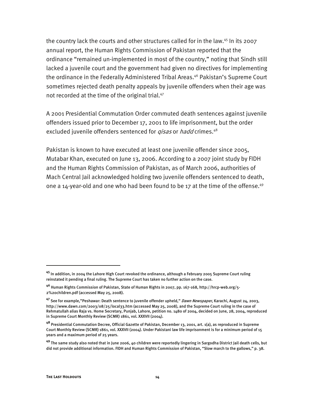the country lack the courts and other structures called for in the law.<sup>45</sup> In its 2007 annual report, the Human Rights Commission of Pakistan reported that the ordinance "remained un-implemented in most of the country," noting that Sindh still lacked a juvenile court and the government had given no directives for implementing the ordinance in the Federally Administered Tribal Areas.<sup>46</sup> Pakistan's Supreme Court sometimes rejected death penalty appeals by juvenile offenders when their age was not recorded at the time of the original trial.<sup>47</sup>

A 2001 Presidential Commutation Order commuted death sentences against juvenile offenders issued prior to December 17, 2001 to life imprisonment, but the order excluded juvenile offenders sentenced for *gisas* or *hadd* crimes.<sup>48</sup>

Pakistan is known to have executed at least one juvenile offender since 2005, Mutabar Khan, executed on June 13, 2006. According to a 2007 joint study by FIDH and the Human Rights Commission of Pakistan, as of March 2006, authorities of Mach Central Jail acknowledged holding two juvenile offenders sentenced to death, one a 14-year-old and one who had been found to be 17 at the time of the offense.<sup>49</sup>

**<sup>45</sup>** In addition, in 2004 the Lahore High Court revoked the ordinance, although a February 2005 Supreme Court ruling reinstated it pending a final ruling. The Supreme Court has taken no further action on the case.

**<sup>46</sup>** Human Rights Commission of Pakistan, State of Human Rights in 2007, pp. 167-168, http://hrcp-web.org/5- 2%20children.pdf (accessed May 25, 2008).

**<sup>47</sup>** See for example,"Peshawar: Death sentence to juvenile offender upheld," Dawn Newspaper, Karachi, August 24, 2003, http://www.dawn.com/2003/08/25/local33.htm (accessed May 25, 2008), and the Supreme Court ruling in the case of Rehmatullah alias Raja vs. Home Secretary, Punjab, Lahore, petition no. 1480 of 2004, decided on June, 28, 2004, reproduced in Supreme Court Monthly Review (SCMR) 1861, vol. XXXVII (2004).

**<sup>48</sup>** Presidential Commutation Decree, Official Gazette of Pakistan, December 13, 2001, art. 1(a), as reproduced in Supreme Court Monthly Review (SCMR) 1861, vol. XXXVII (2004). Under Pakistani law life imprisonment is for a minimum period of 15 years and a maximum period of 25 years.

**<sup>49</sup>** The same study also noted that in June 2006, 40 children were reportedly lingering in Sargodha District Jail death cells, but did not provide additional information. FIDH and Human Rights Commission of Pakistan, "Slow march to the gallows," p. 38.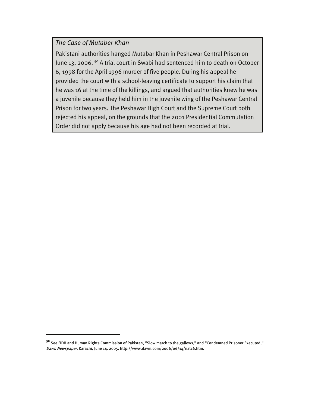## *The Case of Mutaber Khan*

I

Pakistani authorities hanged Mutabar Khan in Peshawar Central Prison on June 13, 2006.<sup>50</sup> A trial court in Swabi had sentenced him to death on October 6, 1998 for the April 1996 murder of five people. During his appeal he provided the court with a school-leaving certificate to support his claim that he was 16 at the time of the killings, and argued that authorities knew he was a juvenile because they held him in the juvenile wing of the Peshawar Central Prison for two years. The Peshawar High Court and the Supreme Court both rejected his appeal, on the grounds that the 2001 Presidential Commutation Order did not apply because his age had not been recorded at trial.

**<sup>50</sup>** See FIDH and Human Rights Commission of Pakistan, "Slow march to the gallows," and "Condemned Prisoner Executed," Dawn Newspaper, Karachi, June 14, 2005, http://www.dawn.com/2006/06/14/nat16.htm.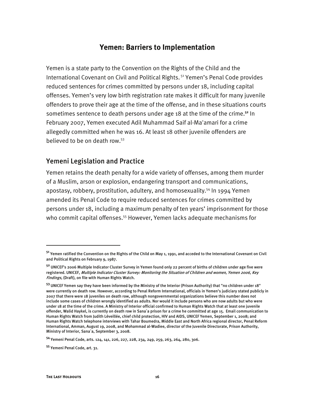## **Yemen: Barriers to Implementation**

Yemen is a state party to the Convention on the Rights of the Child and the International Covenant on Civil and Political Rights. 51 Yemen's Penal Code provides reduced sentences for crimes committed by persons under 18, including capital offenses. Yemen's very low birth registration rate makes it difficult for many juvenile offenders to prove their age at the time of the offense, and in these situations courts sometimes sentence to death persons under age 18 at the time of the crime.**<sup>52</sup>** In February 2007, Yemen executed Adil Muhammad Saif al-Ma'amari for a crime allegedly committed when he was 16. At least 18 other juvenile offenders are believed to be on death row.53

## Yemeni Legislation and Practice

Yemen retains the death penalty for a wide variety of offenses, among them murder of a Muslim, arson or explosion, endangering transport and communications, apostasy, robbery, prostitution, adultery, and homosexuality.<sup>54</sup> In 1994 Yemen amended its Penal Code to require reduced sentences for crimes committed by persons under 18, including a maximum penalty of ten years' imprisonment for those who commit capital offenses.<sup>55</sup> However, Yemen lacks adequate mechanisms for

**<sup>54</sup>** Yemeni Penal Code, arts. 124, 141, 226, 227, 228, 234, 249, 259, 263, 264, 280, 306.

-

**<sup>51</sup>** Yemen ratified the Convention on the Rights of the Child on May 1, 1991, and acceded to the International Covenant on Civil and Political Rights on February 9, 1987.

**<sup>52</sup>** UNICEF's 2006 Multiple Indicator Cluster Survey in Yemen found only 22 percent of births of children under age five were registered. UNICEF, Multiple Indicator Cluster Survey: Monitoring the Situation of Children and women, Yemen 2006, Key Findings, (Draft), on file with Human Rights Watch.

**<sup>53</sup>** UNICEF Yemen say they have been informed by the Ministry of the Interior (Prison Authority) that "no children under 18" were currently on death row. However, according to Penal Reform International, officials in Yemen's judiciary stated publicly in 2007 that there were 18 juveniles on death row, although nongovernmental organizations believe this number does not include some cases of children wrongly identified as adults. Nor would it include persons who are now adults but who were under 18 at the time of the crime. A Ministry of Interior official confirmed to Human Rights Watch that at least one juvenile offender, Walid Haykel, is currently on death row in Sana`a prison for a crime he committed at age 15. Email communication to Human Rights Watch from Judith Léveillée, chief child protection, HIV and AIDS, UNICEF Yemen, September 1, 2008; and Human Rights Watch telephone interviews with Tahar Boumedra, Middle East and North Africa regional director, Penal Reform International, Amman, August 19, 2008, and Mohammad al-Wadiee, director of the Juvenile Directorate, Prison Authority, Ministry of Interior, Sana`a, September 3, 2008.

**<sup>55</sup>** Yemeni Penal Code, art. 31.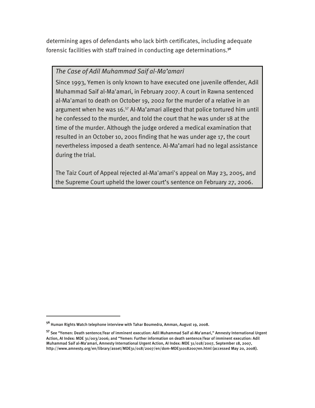determining ages of defendants who lack birth certificates, including adequate forensic facilities with staff trained in conducting age determinations.**<sup>56</sup>**

## *The Case of Adil Muhammad Saif al-Ma'amari*

Since 1993, Yemen is only known to have executed one juvenile offender, Adil Muhammad Saif al-Ma'amari, in February 2007. A court in Rawna sentenced al-Ma'amari to death on October 19, 2002 for the murder of a relative in an argument when he was 16.<sup>57</sup> Al-Ma'amari alleged that police tortured him until he confessed to the murder, and told the court that he was under 18 at the time of the murder. Although the judge ordered a medical examination that resulted in an October 10, 2001 finding that he was under age 17, the court nevertheless imposed a death sentence. Al-Ma'amari had no legal assistance during the trial.

The Taiz Court of Appeal rejected al-Ma'amari's appeal on May 23, 2005, and the Supreme Court upheld the lower court's sentence on February 27, 2006.

**<sup>56</sup>** Human Rights Watch telephone interview with Tahar Boumedra, Amman, August 19, 2008.

**<sup>57</sup>** See "Yemen: Death sentence/fear of imminent execution: Adil Muhammad Saif al-Ma'amari," Amnesty International Urgent Action, AI Index: MDE 31/003/2006; and "Yemen: Further information on death sentence/fear of imminent execution: Adil Muhammad Saif al-Ma'amari, Amnesty International Urgent Action, AI Index: MDE 31/018/2007, September 18, 2007, http://www.amnesty.org/en/library/asset/MDE31/018/2007/en/dom-MDE310182007en.html (accessed May 20, 2008).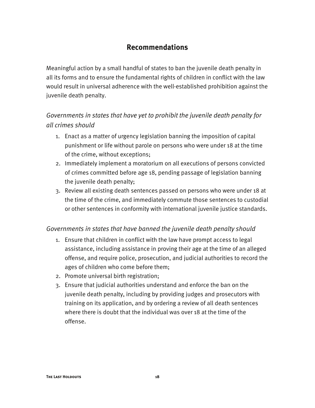# **Recommendations**

Meaningful action by a small handful of states to ban the juvenile death penalty in all its forms and to ensure the fundamental rights of children in conflict with the law would result in universal adherence with the well-established prohibition against the juvenile death penalty.

# *Governments in states that have yet to prohibit the juvenile death penalty for all crimes should*

- 1. Enact as a matter of urgency legislation banning the imposition of capital punishment or life without parole on persons who were under 18 at the time of the crime, without exceptions;
- 2. Immediately implement a moratorium on all executions of persons convicted of crimes committed before age 18, pending passage of legislation banning the juvenile death penalty;
- 3. Review all existing death sentences passed on persons who were under 18 at the time of the crime, and immediately commute those sentences to custodial or other sentences in conformity with international juvenile justice standards.

## *Governments in states that have banned the juvenile death penalty should*

- 1. Ensure that children in conflict with the law have prompt access to legal assistance, including assistance in proving their age at the time of an alleged offense, and require police, prosecution, and judicial authorities to record the ages of children who come before them;
- 2. Promote universal birth registration;
- 3. Ensure that judicial authorities understand and enforce the ban on the juvenile death penalty, including by providing judges and prosecutors with training on its application, and by ordering a review of all death sentences where there is doubt that the individual was over 18 at the time of the offense.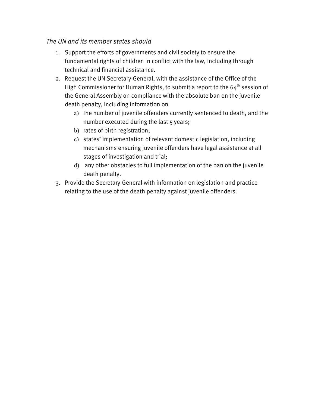## *The UN and its member states should*

- 1. Support the efforts of governments and civil society to ensure the fundamental rights of children in conflict with the law, including through technical and financial assistance.
- 2. Request the UN Secretary-General, with the assistance of the Office of the High Commissioner for Human Rights, to submit a report to the  $64<sup>th</sup>$  session of the General Assembly on compliance with the absolute ban on the juvenile death penalty, including information on
	- a) the number of juvenile offenders currently sentenced to death, and the number executed during the last 5 years;
	- b) rates of birth registration;
	- c) states' implementation of relevant domestic legislation, including mechanisms ensuring juvenile offenders have legal assistance at all stages of investigation and trial;
	- d) any other obstacles to full implementation of the ban on the juvenile death penalty.
- 3. Provide the Secretary-General with information on legislation and practice relating to the use of the death penalty against juvenile offenders.